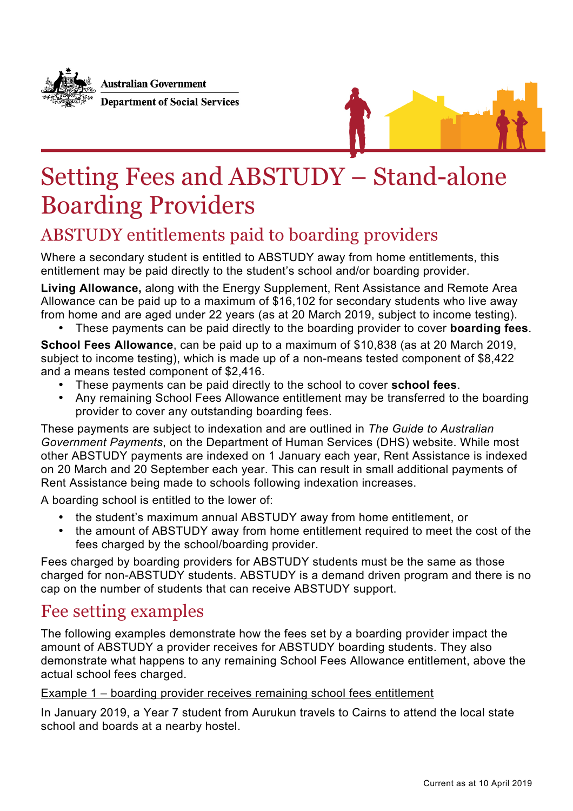

**Australian Government Department of Social Services** 



## Setting Fees and ABSTUDY – Stand-alone Boarding Providers

## ABSTUDY entitlements paid to boarding providers

Where a secondary student is entitled to ABSTUDY away from home entitlements, this entitlement may be paid directly to the student's school and/or boarding provider.

**Living Allowance,** along with the Energy Supplement, Rent Assistance and Remote Area Allowance can be paid up to a maximum of \$16,102 for secondary students who live away from home and are aged under 22 years (as at 20 March 2019, subject to income testing).

• These payments can be paid directly to the boarding provider to cover **boarding fees**.

**School Fees Allowance**, can be paid up to a maximum of \$10,838 (as at 20 March 2019, subject to income testing), which is made up of a non-means tested component of \$8,422 and a means tested component of \$2,416.

- These payments can be paid directly to the school to cover **school fees**.
- Any remaining School Fees Allowance entitlement may be transferred to the boarding provider to cover any outstanding boarding fees.

These payments are subject to indexation and are outlined in *The Guide to Australian Government Payments*, on the Department of Human Services (DHS) website. While most other ABSTUDY payments are indexed on 1 January each year, Rent Assistance is indexed on 20 March and 20 September each year. This can result in small additional payments of Rent Assistance being made to schools following indexation increases.

A boarding school is entitled to the lower of:

- the student's maximum annual ABSTUDY away from home entitlement, or
- the amount of ABSTUDY away from home entitlement required to meet the cost of the fees charged by the school/boarding provider.

Fees charged by boarding providers for ABSTUDY students must be the same as those charged for non-ABSTUDY students. ABSTUDY is a demand driven program and there is no cap on the number of students that can receive ABSTUDY support.

## Fee setting examples

The following examples demonstrate how the fees set by a boarding provider impact the amount of ABSTUDY a provider receives for ABSTUDY boarding students. They also demonstrate what happens to any remaining School Fees Allowance entitlement, above the actual school fees charged.

Example 1 – boarding provider receives remaining school fees entitlement

In January 2019, a Year 7 student from Aurukun travels to Cairns to attend the local state school and boards at a nearby hostel.